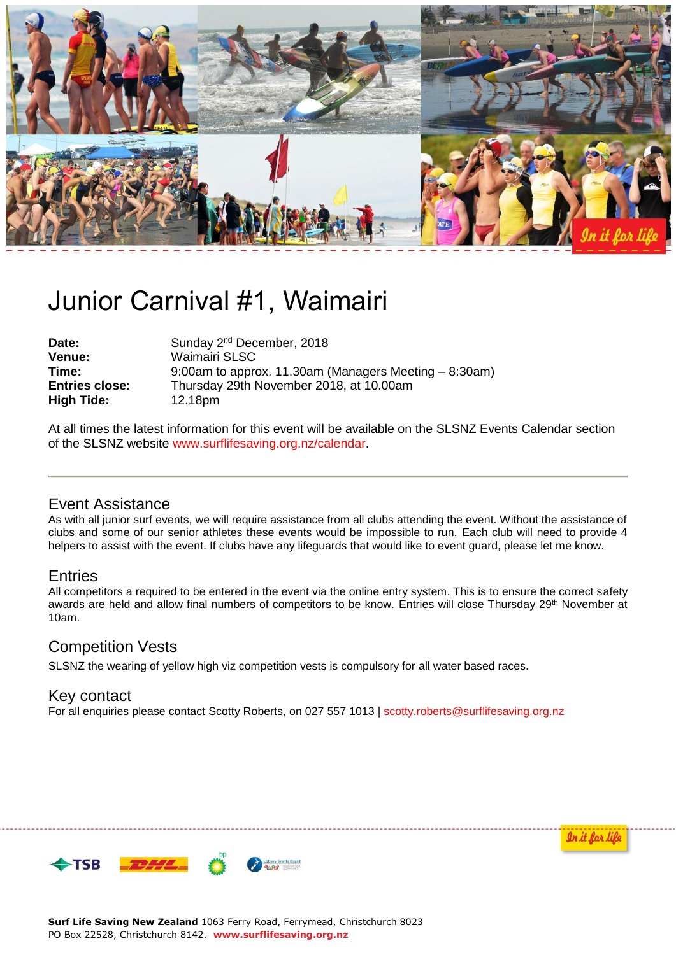

# Junior Carnival #1, Waimairi

Date: Sunday 2<sup>nd</sup> December, 2018 **Venue:** Waimairi SLSC<br> **Time:** 9:00am to appro **Time:** 9:00am to approx. 11.30am (Managers Meeting – 8:30am) **Entries close:** Thursday 29th November 2018, at 10.00am **High Tide:** 12.18pm

At all times the latest information for this event will be available on the SLSNZ Events Calendar section of the SLSNZ website [www.surflifesaving.org.nz/calendar.](http://www.surflifesaving.org.nz/calendar)

# Event Assistance

As with all junior surf events, we will require assistance from all clubs attending the event. Without the assistance of clubs and some of our senior athletes these events would be impossible to run. Each club will need to provide 4 helpers to assist with the event. If clubs have any lifeguards that would like to event guard, please let me know.

## **Entries**

All competitors a required to be entered in the event via the online entry system. This is to ensure the correct safety awards are held and allow final numbers of competitors to be know. Entries will close Thursday 29<sup>th</sup> November at 10am.

# Competition Vests

SLSNZ the wearing of yellow high viz competition vests is compulsory for all water based races.

#### Key contact

For all enquiries please contact Scotty Roberts, on 027 557 1013 | [scotty.roberts@surflifesaving.org.nz](mailto:scotty.roberts@surflifesaving.org.nz)





**Surf Life Saving New Zealand** 1063 Ferry Road, Ferrymead, Christchurch 8023 PO Box 22528, Christchurch 8142. **www.surflifesaving.org.nz**